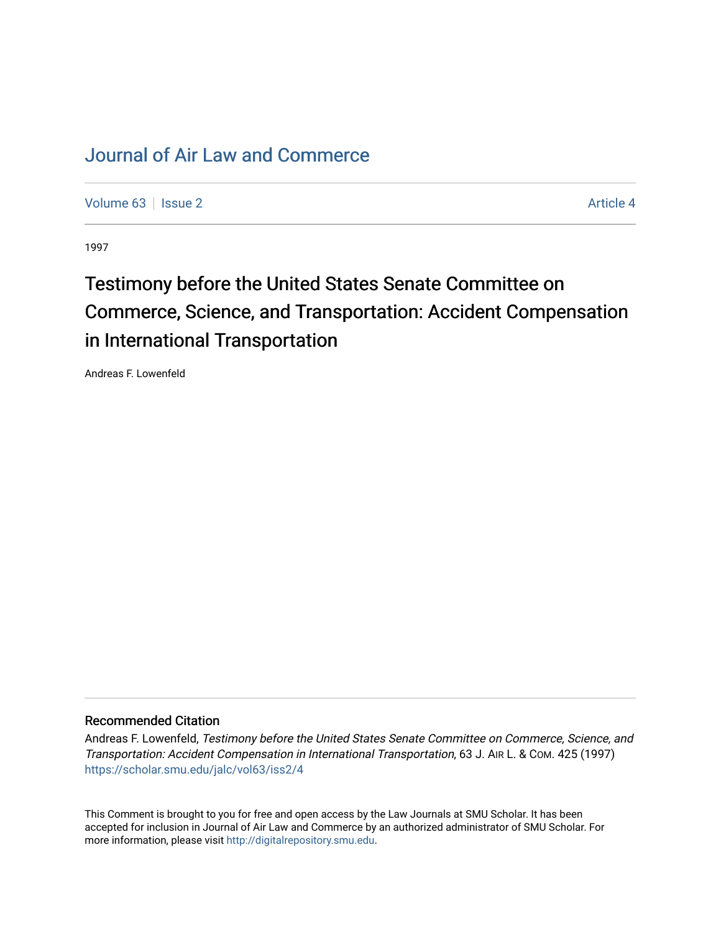## [Journal of Air Law and Commerce](https://scholar.smu.edu/jalc)

[Volume 63](https://scholar.smu.edu/jalc/vol63) | [Issue 2](https://scholar.smu.edu/jalc/vol63/iss2) Article 4

1997

# Testimony before the United States Senate Committee on Commerce, Science, and Transportation: Accident Compensation in International Transportation

Andreas F. Lowenfeld

## Recommended Citation

Andreas F. Lowenfeld, Testimony before the United States Senate Committee on Commerce, Science, and Transportation: Accident Compensation in International Transportation, 63 J. AIR L. & COM. 425 (1997) [https://scholar.smu.edu/jalc/vol63/iss2/4](https://scholar.smu.edu/jalc/vol63/iss2/4?utm_source=scholar.smu.edu%2Fjalc%2Fvol63%2Fiss2%2F4&utm_medium=PDF&utm_campaign=PDFCoverPages) 

This Comment is brought to you for free and open access by the Law Journals at SMU Scholar. It has been accepted for inclusion in Journal of Air Law and Commerce by an authorized administrator of SMU Scholar. For more information, please visit [http://digitalrepository.smu.edu](http://digitalrepository.smu.edu/).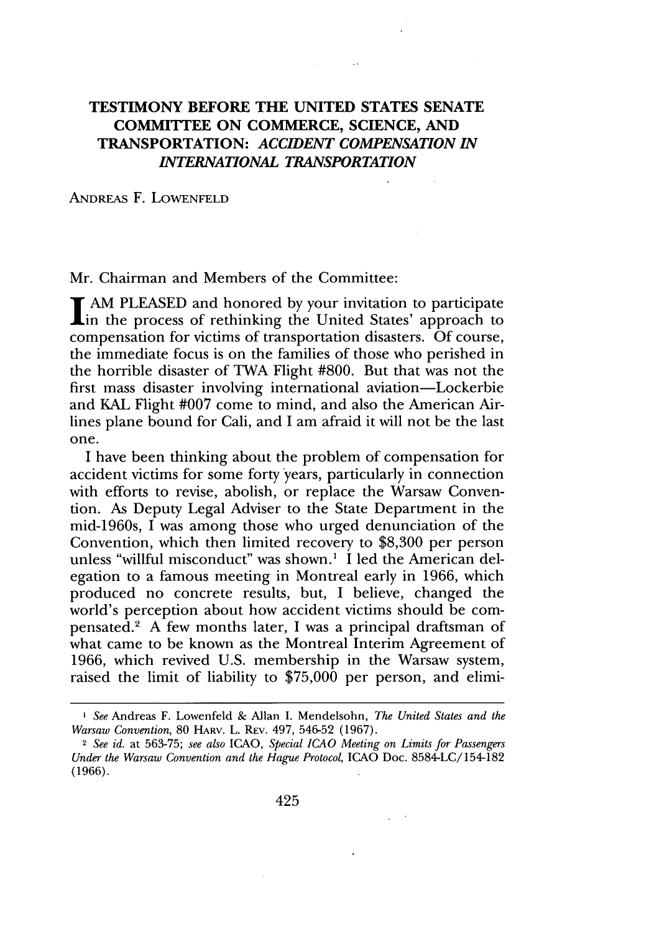## **TESTIMONY BEFORE THE UNITED STATES SENATE COMMITTEE ON COMMERCE, SCIENCE, AND TRANSPORTATION:** *ACCIDENT COMPENSATION IN INTERNATIONAL TRANSPORTATION*

#### ANDREAS F. **LOWENFELD**

Mr. Chairman and Members of the Committee:

**T** AM PLEASED and honored by your invitation to participate in the process of rethinking the United States' approach to compensation for victims of transportation disasters. Of course, the immediate focus is on the families of those who perished in the horrible disaster of TWA Flight #800. But that was not the first mass disaster involving international aviation-Lockerbie and KAL Flight #007 come to mind, and also the American Airlines plane bound for Cali, and I am afraid it will not be the last one.

I have been thinking about the problem of compensation for accident victims for some forty years, particularly in connection with efforts to revise, abolish, or replace the Warsaw Convention. As Deputy Legal Adviser to the State Department in the mid-1960s, I was among those who urged denunciation of the Convention, which then limited recovery to \$8,300 per person unless "willful misconduct" was shown.' I led the American delegation to a famous meeting in Montreal early in 1966, which produced no concrete results, but, I believe, changed the world's perception about how accident victims should be compensated.2 A few months later, I was a principal draftsman of what came to be known as the Montreal Interim Agreement of 1966, which revived U.S. membership in the Warsaw system, raised the limit of liability to \$75,000 per person, and elimi-

*I See* Andreas F. Lowenfeld & Allan I. Mendelsohn, *The United States and the Warsaw Convention,* 80 HARV. L. REV. 497, 546-52 (1967).

<sup>2</sup> *See id.* at 563-75; *see also* ICAO, *Special ICAO Meeting on Limits for Passengers Under the Warsaw Convention and the Hague Protocol,* **ICAO** Doc. 8584-LC/154-182 (1966).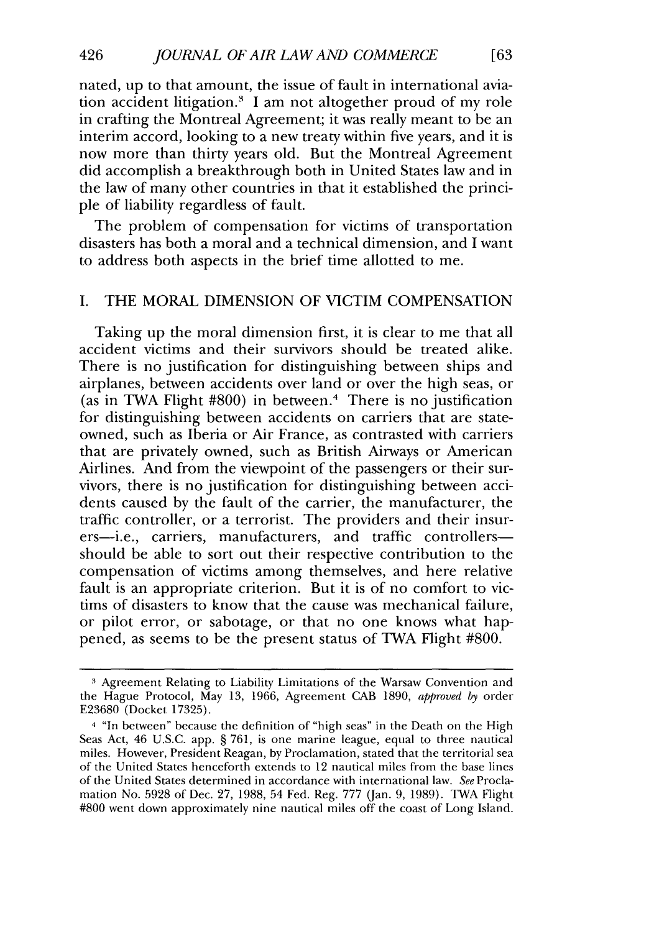nated, up to that amount, the issue of fault in international aviation accident litigation.3 I am not altogether proud of my role in crafting the Montreal Agreement; it was really meant to be an interim accord, looking to a new treaty within five years, and it is now more than thirty years old. But the Montreal Agreement did accomplish a breakthrough both in United States law and in the law of many other countries in that it established the principle of liability regardless of fault.

[63]

The problem of compensation for victims of transportation disasters has both a moral and a technical dimension, and I want to address both aspects in the brief time allotted to me.

#### I. THE MORAL DIMENSION OF VICTIM COMPENSATION

Taking up the moral dimension first, it is clear to me that all accident victims and their survivors should be treated alike. There is no justification for distinguishing between ships and airplanes, between accidents over land or over the high seas, or (as in TWA Flight #800) in between.' There is no justification for distinguishing between accidents on carriers that are stateowned, such as Iberia or Air France, as contrasted with carriers that are privately owned, such as British Airways or American Airlines. And from the viewpoint of the passengers or their survivors, there is no justification for distinguishing between accidents caused by the fault of the carrier, the manufacturer, the traffic controller, or a terrorist. The providers and their insurers-i.e., carriers, manufacturers, and traffic controllersshould be able to sort out their respective contribution to the compensation of victims among themselves, and here relative fault is an appropriate criterion. But it is of no comfort to victims of disasters to know that the cause was mechanical failure, or pilot error, or sabotage, or that no one knows what happened, as seems to be the present status of TWA Flight #800.

**<sup>3</sup>** Agreement Relating to Liability Limitations of the Warsaw Convention and the Hague Protocol, May 13, 1966, Agreement CAB 1890, *approved by* order E23680 (Docket 17325).

<sup>4 &</sup>quot;In between" because the definition of "high seas" in the Death on the High Seas Act, 46 U.S.C. app. § 761, is one marine league, equal to three nautical miles. However, President Reagan, by Proclamation, stated that the territorial sea of the United States henceforth extends to 12 nautical miles from the base lines of the United States determined in accordance with international law. *See* Proclamation No. 5928 of Dec. 27, 1988, 54 Fed. Reg. 777 (Jan. 9, 1989). TWA Flight #800 went down approximately nine nautical miles off the coast of Long Island.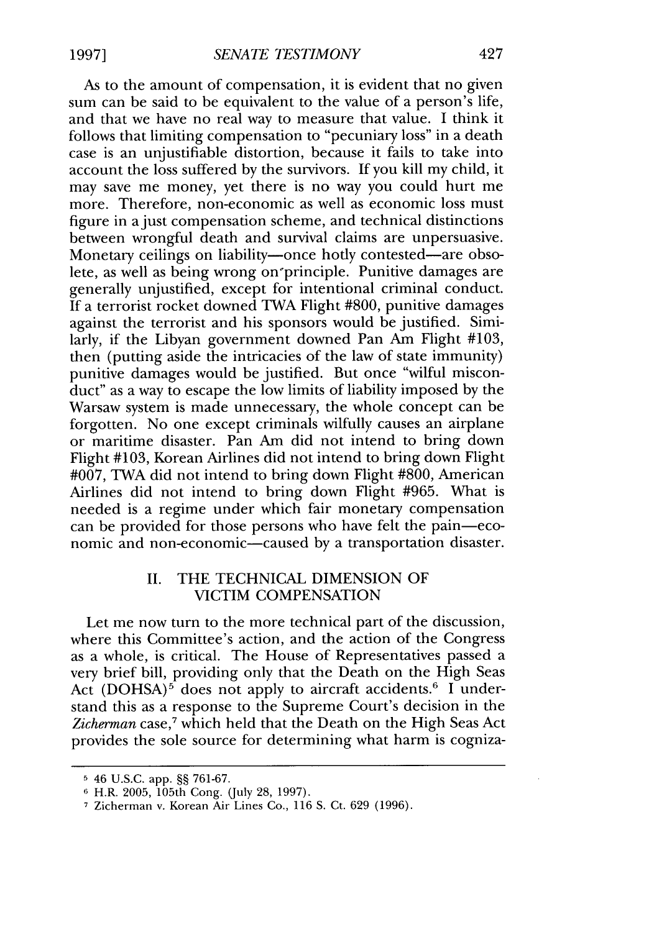As to the amount of compensation, it is evident that no given sum can be said to be equivalent to the value of a person's life, and that we have no real way to measure that value. I think it follows that limiting compensation to "pecuniary loss" in a death case is an unjustifiable distortion, because it fails to take into account the loss suffered by the survivors. If you kill my child, it may save me money, yet there is no way you could hurt me more. Therefore, non-economic as well as economic loss must figure in a just compensation scheme, and technical distinctions between wrongful death and survival claims are unpersuasive. Monetary ceilings on liability—once hotly contested—are obsolete, as well as being wrong on'principle. Punitive damages are generally unjustified, except for intentional criminal conduct. If a terrorist rocket downed TWA Flight #800, punitive damages against the terrorist and his sponsors would be justified. Similarly, if the Libyan government downed Pan Am Flight #103, then (putting aside the intricacies of the law of state immunity) punitive damages would be justified. But once "wilful misconduct" as a way to escape the low limits of liability imposed by the Warsaw system is made unnecessary, the whole concept can be forgotten. No one except criminals wilfully causes an airplane or maritime disaster. Pan Am did not intend to bring down Flight #103, Korean Airlines did not intend to bring down Flight  $\text{\#007}$ , TWA did not intend to bring down Flight  $\text{\#800}$ , American Airlines did not intend to bring down Flight #965. What is needed is a regime under which fair monetary compensation can be provided for those persons who have felt the pain-economic and non-economic-caused by a transportation disaster.

### II. THE TECHNICAL DIMENSION OF VICTIM COMPENSATION

Let me now turn to the more technical part of the discussion, where this Committee's action, and the action of the Congress as a whole, is critical. The House of Representatives passed a very brief bill, providing only that the Death on the High Seas Act  $(DOHSA)^5$  does not apply to aircraft accidents.<sup>6</sup> I understand this as a response to the Supreme Court's decision in the Zicherman case,<sup>7</sup> which held that the Death on the High Seas Act provides the sole source for determining what harm is cogniza-

**<sup>5</sup>** 46 U.S.C. app. §§ 761-67.

**<sup>3</sup>** H.R. 2005, 105th Cong. (July 28, 1997).

**<sup>7</sup>** Zicherman v. Korean Air Lines Co., 116 S. Ct. 629 (1996).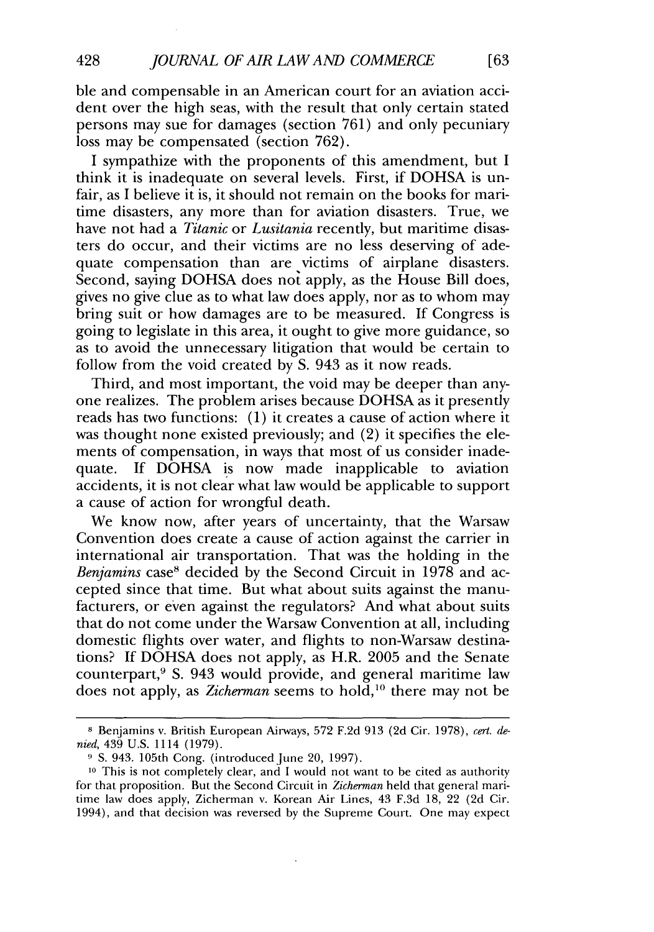ble and compensable in an American court for an aviation accident over the high seas, with the result that only certain stated persons may sue for damages (section 761) and only pecuniary loss may be compensated (section 762).

I sympathize with the proponents of this amendment, but I think it is inadequate on several levels. First, if DOHSA is unfair, as I believe it is, it should not remain on the books for maritime disasters, any more than for aviation disasters. True, we have not had a *Titanic* or *Lusitania* recently, but maritime disasters do occur, and their victims are no less deserving of adequate compensation than are victims of airplane disasters. Second, saying DOHSA does not apply, as the House Bill does, gives no give clue as to what law does apply, nor as to whom may bring suit or how damages are to be measured. If Congress is going to legislate in this area, it ought to give more guidance, so as to avoid the unnecessary litigation that would be certain to follow from the void created by S. 943 as it now reads.

Third, and most important, the void may be deeper than anyone realizes. The problem arises because DOHSA as it presently reads has two functions: (1) it creates a cause of action where it was thought none existed previously; and (2) it specifies the elements of compensation, in ways that most of us consider inadequate. If DOHSA is now made inapplicable to aviation accidents, it is not clear what law would be applicable to support a cause of action for wrongful death.

We know now, after years of uncertainty, that the Warsaw Convention does create a cause of action against the carrier in international air transportation. That was the holding in the *Benjamins* case<sup>8</sup> decided by the Second Circuit in 1978 and accepted since that time. But what about suits against the manufacturers, or even against the regulators? And what about suits that do not come under the Warsaw Convention at all, including domestic flights over water, and flights to non-Warsaw destinations? If DOHSA does not apply, as H.R. 2005 and the Senate counterpart,9 **S.** 943 would provide, and general maritime law does not apply, as *Zicherman* seems to hold,<sup>10</sup> there may not be

 $f63$ 

**<sup>8</sup>** Benjamins v. British European Airways, 572 F.2d 913 (2d Cir. 1978), *cert. denied,* 439 U.S. 1114 (1979).

<sup>&</sup>lt;sup>9</sup> S. 943. 105th Cong. (introduced June 20, 1997).

**<sup>10</sup>** This is not completely clear, and I would not want to be cited as authority for that proposition. But the Second Circuit in *Zicherman* held that general maritime law does apply, Zicherman v. Korean Air Lines, 43 F.3d 18, 22 (2d Cir. 1994), and that decision was reversed by the Supreme Court. One may expect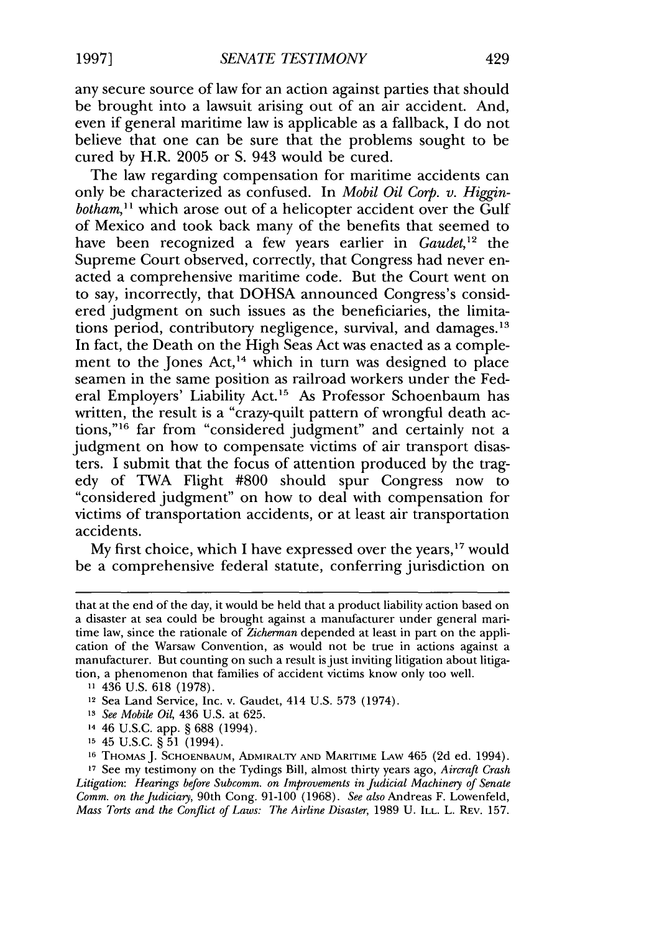any secure source of law for an action against parties that should be brought into a lawsuit arising out of an air accident. And, even if general maritime law is applicable as a fallback, I do not believe that one can be sure that the problems sought to be cured by H.R. 2005 or S. 943 would be cured.

The law regarding compensation for maritime accidents can only be characterized as confused. In *Mobil Oil Corp. v. Higginbotham,"* which arose out of a helicopter accident over the Gulf of Mexico and took back many of the benefits that seemed to have been recognized a few years earlier in *Gaudet,12* the Supreme Court observed, correctly, that Congress had never enacted a comprehensive maritime code. But the Court went on to say, incorrectly, that DOHSA announced Congress's considered judgment on such issues as the beneficiaries, the limitations period, contributory negligence, survival, and damages.<sup>13</sup> In fact, the Death on the High Seas Act was enacted as a complement to the Jones Act,<sup>14</sup> which in turn was designed to place seamen in the same position as railroad workers under the Federal Employers' Liability Act.'5 As Professor Schoenbaum has written, the result is a "crazy-quilt pattern of wrongful death actions,"<sup>16</sup> far from "considered judgment" and certainly not a judgment on how to compensate victims of air transport disasters. I submit that the focus of attention produced by the tragedy of TWA Flight #800 should spur Congress now to "considered judgment" on how to deal with compensation for victims of transportation accidents, or at least air transportation accidents.

My first choice, which I have expressed over the years,  $17$  would be a comprehensive federal statute, conferring jurisdiction on

that at the end of the day, it would be held that a product liability action based on a disaster at sea could be brought against a manufacturer under general maritime law, since the rationale of *Zicherman* depended at least in part on the application of the Warsaw Convention, as would not be true in actions against a manufacturer. But counting on such a result is just inviting litigation about litigation, a phenomenon that families of accident victims know only too well.

**<sup>11</sup>** 436 U.S. 618 (1978).

<sup>&</sup>lt;sup>12</sup> Sea Land Service, Inc. v. Gaudet, 414 U.S. 573 (1974).

**<sup>13</sup>** *See Mobile Oil,* 436 U.S. at 625.

<sup>14</sup>46 U.S.C. app. § 688 (1994).

**<sup>15</sup>**45 U.S.C. § 51 (1994). **16 THOMAS J.** SCHOENBAUM, ADMIRALTY **AND** MARITIME LAW 465 (2d ed. 1994). **<sup>17</sup>**See my testimony on the Tydings Bill, almost thirty years ago, *Aircraft Crash Litigation: Hearings before Subcomm. on Improvements in Judicial Machinery of Senate Comm. on the Judiciary,* 90th Cong. 91-100 (1968). *See* also Andreas F. Lowenfeld, *Mass Torts and the Conflict of Laws: The Airline Disaster, 1989 U. ILL. L. REV. 157.*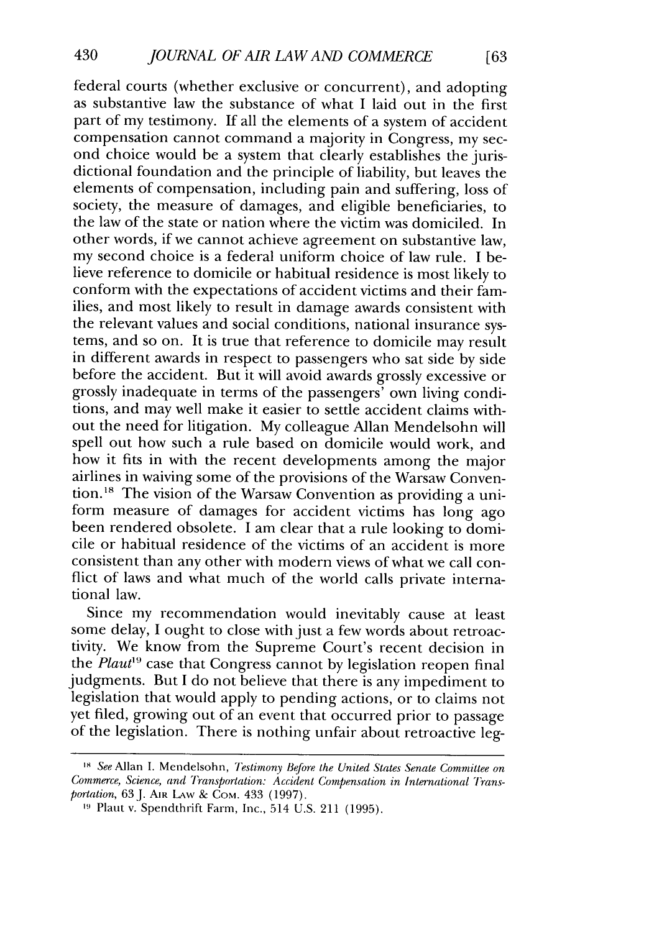federal courts (whether exclusive or concurrent), and adopting as substantive law the substance of what I laid out in the first part of my testimony. If all the elements of a system of accident compensation cannot command a majority in Congress, my second choice would be a system that clearly establishes the jurisdictional foundation and the principle of liability, but leaves the elements of compensation, including pain and suffering, loss of society, the measure of damages, and eligible beneficiaries, to the law of the state or nation where the victim was domiciled. In other words, if we cannot achieve agreement on substantive law, my second choice is a federal uniform choice of law rule. I believe reference to domicile or habitual residence is most likely to conform with the expectations of accident victims and their families, and most likely to result in damage awards consistent with the relevant values and social conditions, national insurance systems, and so on. It is true that reference to domicile may result in different awards in respect to passengers who sat side by side before the accident. But it will avoid awards grossly excessive or grossly inadequate in terms of the passengers' own living conditions, and may well make it easier to settle accident claims without the need for litigation. My colleague Allan Mendelsohn will spell out how such a rule based on domicile would work, and how it fits in with the recent developments among the major airlines in waiving some of the provisions of the Warsaw Convention.<sup>18</sup> The vision of the Warsaw Convention as providing a uniform measure of damages for accident victims has long ago been rendered obsolete. I am clear that a rule looking to domicile or habitual residence of the victims of an accident is more consistent than any other with modern views of what we call conflict of laws and what much of the world calls private international law.

Since my recommendation would inevitably cause at least some delay, I ought to close with just a few words about retroactivity. We know from the Supreme Court's recent decision in the *Plaut*<sup>19</sup> case that Congress cannot by legislation reopen final judgments. But I do not believe that there is any impediment to legislation that would apply to pending actions, or to claims not yet filed, growing out of an event that occurred prior to passage of the legislation. There is nothing unfair about retroactive leg-

*<sup>&#</sup>x27;8* See Allan I. Mendelsohn, *Testimony Before the United States Senate Committee on* Commerce, *Science,* and *Transportation: Accident Compensation* in *International Transportation*, 63 J. AIR LAW & COM. 433 (1997).

**<sup>19</sup>** Plant v. Spendthrift Farm, Inc., 514 U.S. 211 (1995).